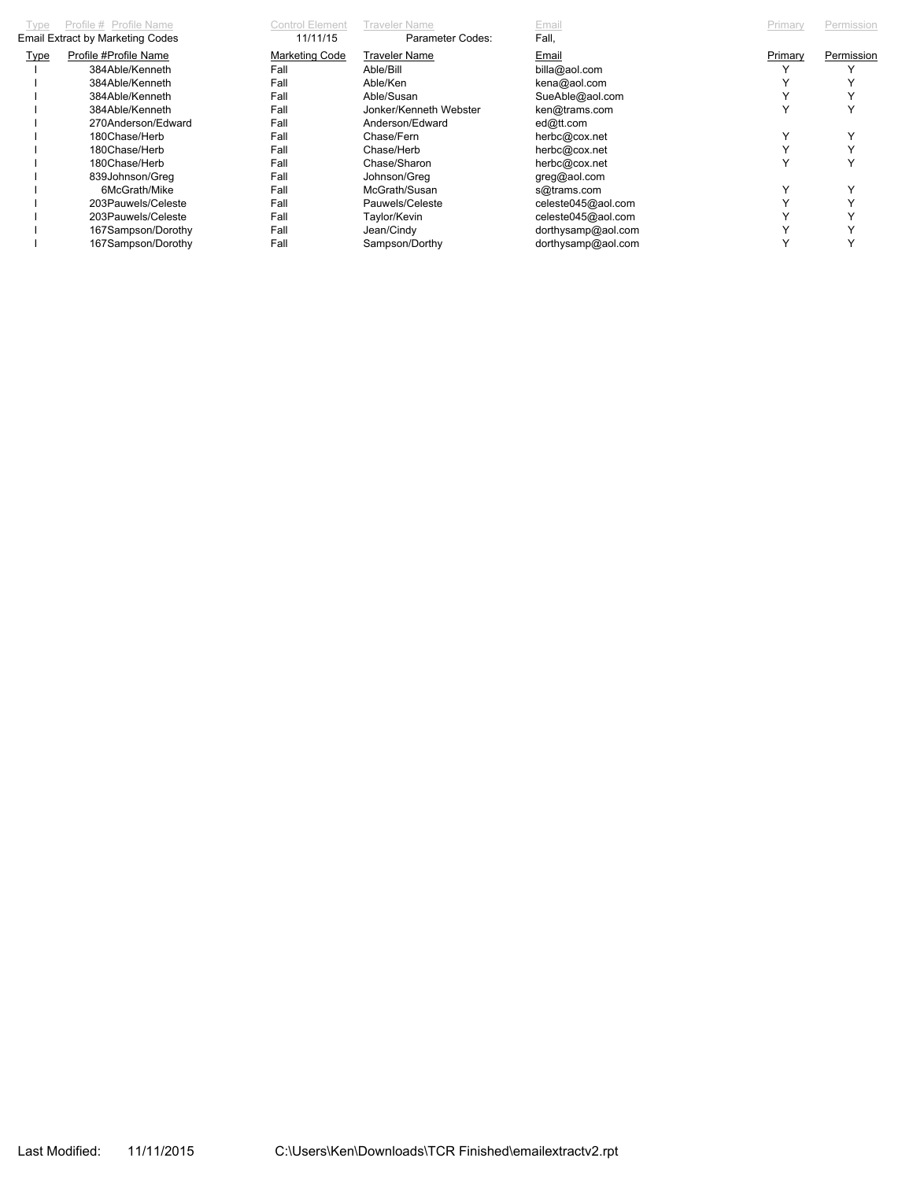| Type                                    | Profile # Profile Name | Control Element | Fraveler Name          | Email              | Primary | Permission |
|-----------------------------------------|------------------------|-----------------|------------------------|--------------------|---------|------------|
| <b>Email Extract by Marketing Codes</b> |                        | 11/11/15        | Parameter Codes:       | Fall,              |         |            |
| <b>Type</b>                             | Profile #Profile Name  | Marketing Code  | <b>Traveler Name</b>   | Email              | Primary | Permission |
|                                         | 384Able/Kenneth        | Fall            | Able/Bill              | billa@aol.com      |         |            |
|                                         | 384Able/Kenneth        | Fall            | Able/Ken               | kena@aol.com       |         |            |
|                                         | 384Able/Kenneth        | Fall            | Able/Susan             | SueAble@aol.com    |         |            |
|                                         | 384Able/Kenneth        | Fall            | Jonker/Kenneth Webster | ken@trams.com      |         |            |
|                                         | 270Anderson/Edward     | Fall            | Anderson/Edward        | ed@tt.com          |         |            |
|                                         | 180Chase/Herb          | Fall            | Chase/Fern             | herbc@cox.net      |         |            |
|                                         | 180Chase/Herb          | Fall            | Chase/Herb             | herbc@cox.net      |         |            |
|                                         | 180Chase/Herb          | Fall            | Chase/Sharon           | herbc@cox.net      |         |            |
|                                         | 839Johnson/Greg        | Fall            | Johnson/Greg           | greg@aol.com       |         |            |
|                                         | 6McGrath/Mike          | Fall            | McGrath/Susan          | s@trams.com        |         |            |
|                                         | 203Pauwels/Celeste     | Fall            | Pauwels/Celeste        | celeste045@aol.com |         |            |
|                                         | 203Pauwels/Celeste     | Fall            | Taylor/Kevin           | celeste045@aol.com |         |            |
|                                         | 167Sampson/Dorothy     | Fall            | Jean/Cindy             | dorthysamp@aol.com |         |            |
|                                         | 167Sampson/Dorothy     | Fall            | Sampson/Dorthy         | dorthysamp@aol.com |         |            |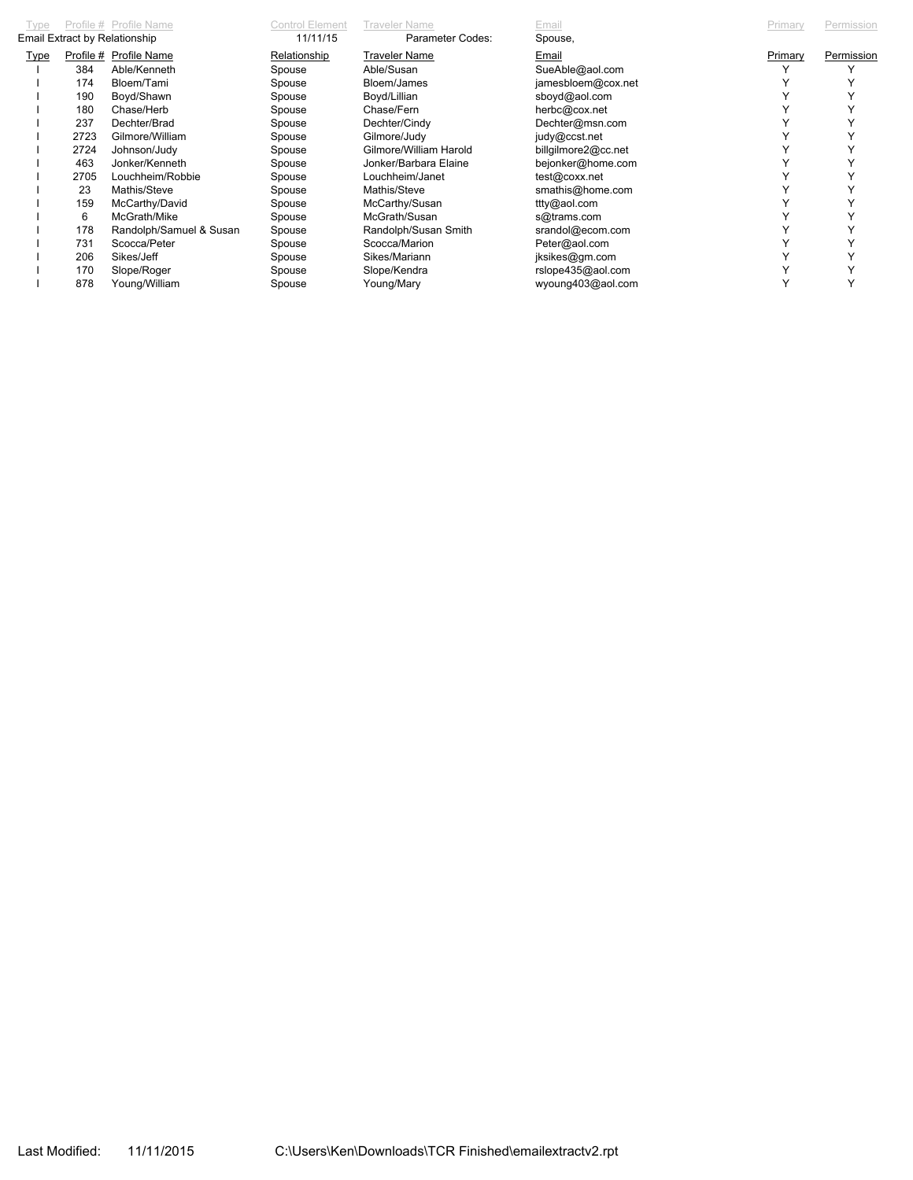| Type                          |      | Profile # Profile Name  | Control Element | <b>Traveler Name</b>   | Email               | Primary | Permission |
|-------------------------------|------|-------------------------|-----------------|------------------------|---------------------|---------|------------|
| Email Extract by Relationship |      |                         | 11/11/15        | Parameter Codes:       | Spouse,             |         |            |
| <b>Type</b>                   |      | Profile # Profile Name  | Relationship    | <b>Traveler Name</b>   | Email               | Primary | Permission |
|                               | 384  | Able/Kenneth            | Spouse          | Able/Susan             | SueAble@aol.com     |         |            |
|                               | 174  | Bloem/Tami              | Spouse          | Bloem/James            | jamesbloem@cox.net  |         |            |
|                               | 190  | Boyd/Shawn              | Spouse          | Boyd/Lillian           | sboyd@aol.com       |         |            |
|                               | 180  | Chase/Herb              | Spouse          | Chase/Fern             | herbc@cox.net       |         |            |
|                               | 237  | Dechter/Brad            | Spouse          | Dechter/Cindy          | Dechter@msn.com     |         |            |
|                               | 2723 | Gilmore/William         | Spouse          | Gilmore/Judy           | judy@ccst.net       |         |            |
|                               | 2724 | Johnson/Judy            | Spouse          | Gilmore/William Harold | billgilmore2@cc.net |         |            |
|                               | 463  | Jonker/Kenneth          | Spouse          | Jonker/Barbara Elaine  | bejonker@home.com   |         |            |
|                               | 2705 | Louchheim/Robbie        | Spouse          | Louchheim/Janet        | test@coxx.net       |         |            |
|                               | 23   | Mathis/Steve            | Spouse          | Mathis/Steve           | smathis@home.com    |         |            |
|                               | 159  | McCarthy/David          | Spouse          | McCarthy/Susan         | ttty@aol.com        |         |            |
|                               | 6    | McGrath/Mike            | Spouse          | McGrath/Susan          | s@trams.com         |         |            |
|                               | 178  | Randolph/Samuel & Susan | Spouse          | Randolph/Susan Smith   | srandol@ecom.com    |         |            |
|                               | 731  | Scocca/Peter            | Spouse          | Scocca/Marion          | Peter@aol.com       |         |            |
|                               | 206  | Sikes/Jeff              | Spouse          | Sikes/Mariann          | jksikes@gm.com      |         |            |
|                               | 170  | Slope/Roger             | Spouse          | Slope/Kendra           | rslope435@aol.com   |         |            |
|                               | 878  | Young/William           | Spouse          | Young/Mary             | wyoung403@aol.com   |         |            |